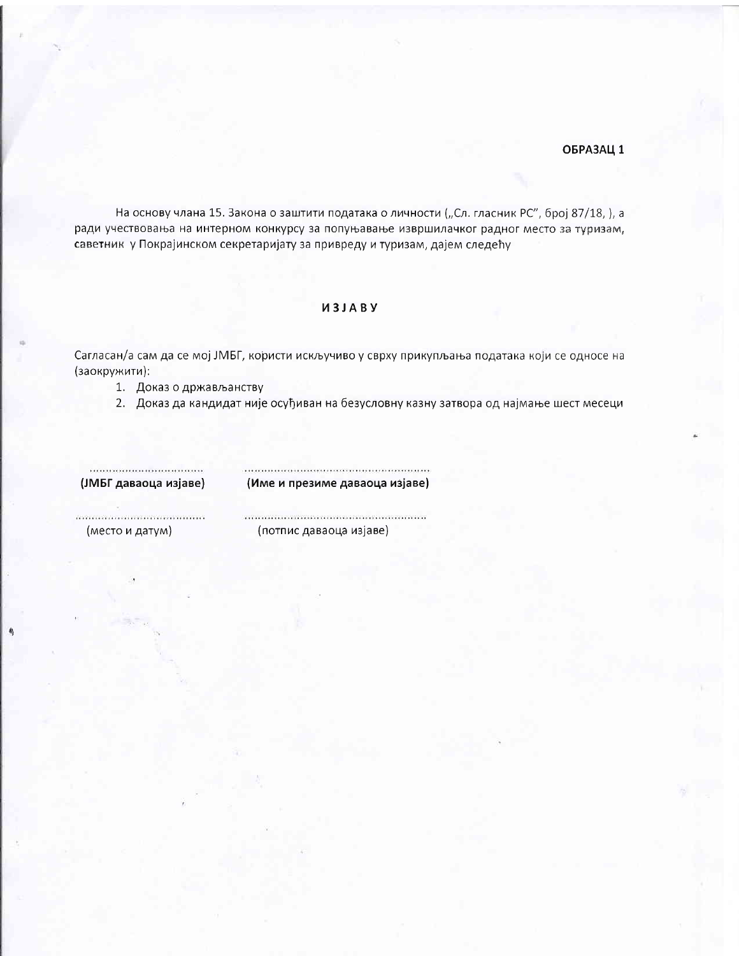## ОБРАЗАЦ 1

На основу члана 15. Закона о заштити података о личности ("Сл. гласник РС", број 87/18, ), а ради учествовања на интерном конкурсу за попуњавање извршилачког радног место за туризам, саветник у Покрајинском секретаријату за привреду и туризам, дајем следећу

## *U3JABY*

Сагласан/а сам да се мој ЈМБГ, користи искључиво у сврху прикупљања података који се односе на (заокружити):

1. Доказ о држављанству

2. Доказ да кандидат није осуђиван на безусловну казну затвора од најмање шест месеци

................................. (ЈМБГ даваоца изјаве)

(Име и презиме даваоца изјаве)

(место и датум)

,,,,,,,,,,,,,,,,,,,,,,,,,,,,,,, (потпис даваоца изјаве)